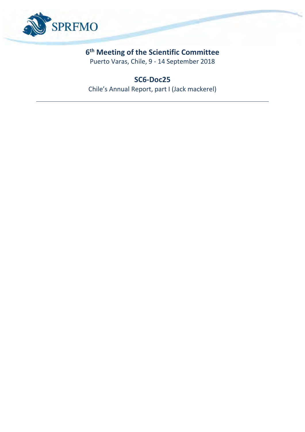

### **6 th Meeting of the Scientific Committee**

Puerto Varas, Chile, 9 - 14 September 2018

### **SC6-Doc25**

Chile's Annual Report, part I (Jack mackerel)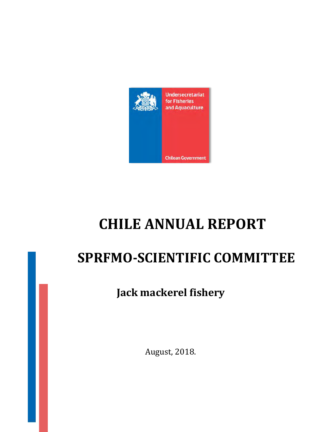

# **CHILE ANNUAL REPORT**

# **SPRFMO-SCIENTIFIC COMMITTEE**

## **Jack mackerel fishery**

August, 2018.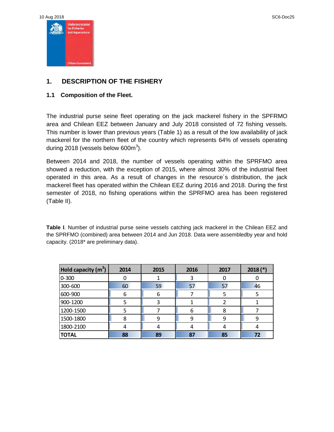

#### **1. DESCRIPTION OF THE FISHERY**

#### **1.1 Composition of the Fleet.**

The industrial purse seine fleet operating on the jack mackerel fishery in the SPFRMO area and Chilean EEZ between January and July 2018 consisted of 72 fishing vessels. This number is lower than previous years (Table 1) as a result of the low availability of jack mackerel for the northern fleet of the country which represents 64% of vessels operating during 2018 (vessels below 600 $m^3$ ).

Between 2014 and 2018, the number of vessels operating within the SPRFMO area showed a reduction, with the exception of 2015, where almost 30% of the industrial fleet operated in this area. As a result of changes in the resource´s distribution, the jack mackerel fleet has operated within the Chilean EEZ during 2016 and 2018. During the first semester of 2018, no fishing operations within the SPRFMO area has been registered (Table II).

**Table I**. Number of industrial purse seine vessels catching jack mackerel in the Chilean EEZ and the SPRFMO (combined) area between 2014 and Jun 2018. Data were assembledby year and hold capacity. (2018\* are preliminary data).

| Hold capacity $(m^3)$ | 2014 | 2015 | 2016 | 2017 | $2018$ (*) |
|-----------------------|------|------|------|------|------------|
| $0 - 300$             |      |      |      |      |            |
| 300-600               | 60   | 59   | 57   | 57   | 46         |
| 600-900               | 6    | 6    |      |      |            |
| 900-1200              |      | 3    |      |      |            |
| 1200-1500             |      |      | 6    |      |            |
| 1500-1800             | 8    |      | 9    |      | 9          |
| 1800-2100             | 4    | 4    | 4    |      |            |
| <b>TOTAL</b>          | 88   | 89   | 87   | 85   | 72         |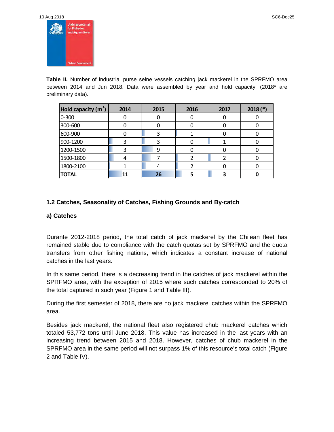| 10 Aug 2018 |                                                      |
|-------------|------------------------------------------------------|
| 激           | Undersecretariat<br>for Fisheries<br>and Aquaculture |
|             |                                                      |
|             |                                                      |

**Table II.** Number of industrial purse seine vessels catching jack mackerel in the SPRFMO area between 2014 and Jun 2018. Data were assembled by year and hold capacity. (2018\* are preliminary data).

| Hold capacity (m <sup>3</sup> ) | 2014 | 2015 | 2016 | 2017 | $2018$ (*) |
|---------------------------------|------|------|------|------|------------|
| $ 0-300 $                       |      |      | U    |      |            |
| 300-600                         |      |      |      |      |            |
| 600-900                         |      |      |      |      |            |
| 900-1200                        |      |      | 0    |      |            |
| 1200-1500                       |      | 9    |      |      |            |
| 1500-1800                       |      |      |      |      |            |
| 1800-2100                       |      |      |      |      |            |
| <b>TOTAL</b>                    | 11   | 26   |      |      |            |

#### **1.2 Catches, Seasonality of Catches, Fishing Grounds and By-catch**

#### **a) Catches**

Durante 2012-2018 period, the total catch of jack mackerel by the Chilean fleet has remained stable due to compliance with the catch quotas set by SPRFMO and the quota transfers from other fishing nations, which indicates a constant increase of national catches in the last years.

In this same period, there is a decreasing trend in the catches of jack mackerel within the SPRFMO area, with the exception of 2015 where such catches corresponded to 20% of the total captured in such year (Figure 1 and Table III).

During the first semester of 2018, there are no jack mackerel catches within the SPRFMO area.

Besides jack mackerel, the national fleet also registered chub mackerel catches which totaled 53,772 tons until June 2018. This value has increased in the last years with an increasing trend between 2015 and 2018. However, catches of chub mackerel in the SPRFMO area in the same period will not surpass 1% of this resource's total catch (Figure 2 and Table IV).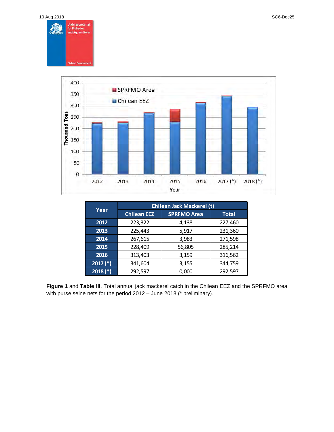



|                 | <b>Chilean Jack Mackerel (t)</b> |                    |              |  |  |  |
|-----------------|----------------------------------|--------------------|--------------|--|--|--|
| Year            | <b>Chilean EEZ</b>               | <b>SPRFMO Area</b> | <b>Total</b> |  |  |  |
| 2012            | 223,322                          | 4,138              | 227,460      |  |  |  |
| 2013            | 225,443                          | 5,917              | 231,360      |  |  |  |
| 2014<br>267,615 |                                  | 3,983              | 271,598      |  |  |  |
| 2015            | 228,409                          | 56,805             | 285,214      |  |  |  |
| 2016            | 313,403                          | 3,159              | 316,562      |  |  |  |
| $(2017 (*)$     | 341,604                          | 3,155              | 344,759      |  |  |  |
| $2018$ (*)      | 292,597                          | 0,000              | 292,597      |  |  |  |

**Figure 1** and **Table III**. Total annual jack mackerel catch in the Chilean EEZ and the SPRFMO area with purse seine nets for the period 2012 – June 2018 (\* preliminary).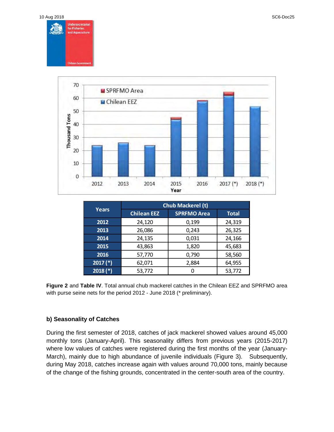



|            | <b>Chub Mackerel (t)</b>                 |       |        |  |  |
|------------|------------------------------------------|-------|--------|--|--|
| Years      | <b>SPRFMO Area</b><br><b>Chilean EEZ</b> |       | Total  |  |  |
| 2012       | 24,120                                   | 0,199 | 24,319 |  |  |
| 2013       | 26,086                                   | 0,243 | 26,325 |  |  |
| 2014       | 24,135                                   | 0,031 | 24,166 |  |  |
| 2015       | 43,863                                   | 1,820 | 45,683 |  |  |
| 2016       | 57,770                                   | 0,790 | 58,560 |  |  |
| $2017$ (*) | 62,071                                   | 2,884 | 64,955 |  |  |
| $2018$ (*) | 53,772                                   |       | 53,772 |  |  |

**Figure 2** and **Table IV**. Total annual chub mackerel catches in the Chilean EEZ and SPRFMO area with purse seine nets for the period 2012 - June 2018 (\* preliminary).

#### **b) Seasonality of Catches**

During the first semester of 2018, catches of jack mackerel showed values around 45,000 monthly tons (January-April). This seasonality differs from previous years (2015-2017) where low values of catches were registered during the first months of the year (January-March), mainly due to high abundance of juvenile individuals (Figure 3). Subsequently, during May 2018, catches increase again with values around 70,000 tons, mainly because of the change of the fishing grounds, concentrated in the center-south area of the country.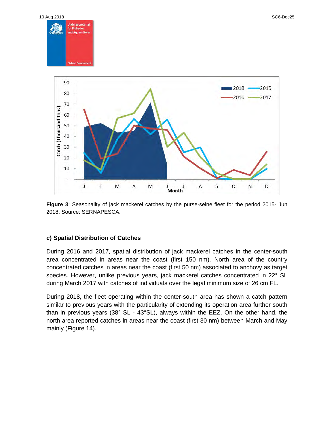

**Figure 3**: Seasonality of jack mackerel catches by the purse-seine fleet for the period 2015- Jun 2018. Source: SERNAPESCA.

#### **c) Spatial Distribution of Catches**

During 2016 and 2017, spatial distribution of jack mackerel catches in the center-south area concentrated in areas near the coast (first 150 nm). North area of the country concentrated catches in areas near the coast (first 50 nm) associated to anchovy as target species. However, unlike previous years, jack mackerel catches concentrated in 22° SL during March 2017 with catches of individuals over the legal minimum size of 26 cm FL.

During 2018, the fleet operating within the center-south area has shown a catch pattern similar to previous years with the particularity of extending its operation area further south than in previous years (38° SL - 43°SL), always within the EEZ. On the other hand, the north area reported catches in areas near the coast (first 30 nm) between March and May mainly (Figure 14).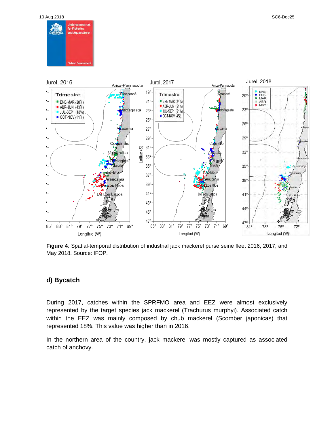10 Aug 2018 SC6-Doc25





**Figure 4**: Spatial-temporal distribution of industrial jack mackerel purse seine fleet 2016, 2017, and May 2018. Source: IFOP.

#### **d) Bycatch**

During 2017, catches within the SPRFMO area and EEZ were almost exclusively represented by the target species jack mackerel (Trachurus murphyi). Associated catch within the EEZ was mainly composed by chub mackerel (Scomber japonicas) that represented 18%. This value was higher than in 2016.

In the northern area of the country, jack mackerel was mostly captured as associated catch of anchovy.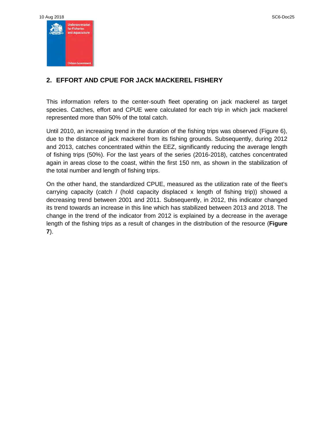

#### **2. EFFORT AND CPUE FOR JACK MACKEREL FISHERY**

This information refers to the center-south fleet operating on jack mackerel as target species. Catches, effort and CPUE were calculated for each trip in which jack mackerel represented more than 50% of the total catch.

Until 2010, an increasing trend in the duration of the fishing trips was observed (Figure 6), due to the distance of jack mackerel from its fishing grounds. Subsequently, during 2012 and 2013, catches concentrated within the EEZ, significantly reducing the average length of fishing trips (50%). For the last years of the series (2016-2018), catches concentrated again in areas close to the coast, within the first 150 nm, as shown in the stabilization of the total number and length of fishing trips.

On the other hand, the standardized CPUE, measured as the utilization rate of the fleet's carrying capacity (catch / (hold capacity displaced x length of fishing trip)) showed a decreasing trend between 2001 and 2011. Subsequently, in 2012, this indicator changed its trend towards an increase in this line which has stabilized between 2013 and 2018. The change in the trend of the indicator from 2012 is explained by a decrease in the average length of the fishing trips as a result of changes in the distribution of the resource (**Figure 7**).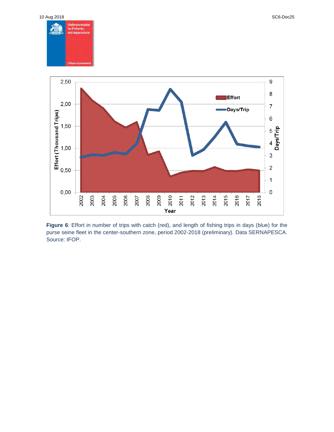

**Figure 6**: Effort in number of trips with catch (red), and length of fishing trips in days (blue) for the purse seine fleet in the center-southern zone, period 2002-2018 (preliminary). Data SERNAPESCA. Source: IFOP.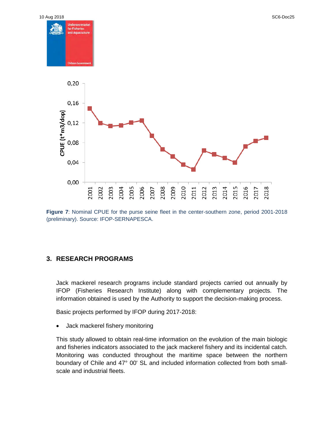

**Figure 7**: Nominal CPUE for the purse seine fleet in the center-southern zone, period 2001-2018 (preliminary). Source: IFOP-SERNAPESCA.

#### **3. RESEARCH PROGRAMS**

Jack mackerel research programs include standard projects carried out annually by IFOP (Fisheries Research Institute) along with complementary projects. The information obtained is used by the Authority to support the decision-making process.

Basic projects performed by IFOP during 2017-2018:

• Jack mackerel fishery monitoring

This study allowed to obtain real-time information on the evolution of the main biologic and fisheries indicators associated to the jack mackerel fishery and its incidental catch. Monitoring was conducted throughout the maritime space between the northern boundary of Chile and 47° 00' SL and included information collected from both smallscale and industrial fleets.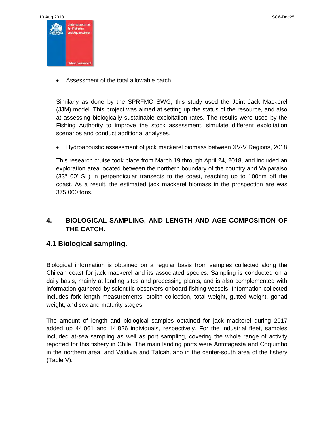| 10 Aug 2018    |                                   |
|----------------|-----------------------------------|
| <b>REDISIN</b> | Undersecretariat<br>for Fisheries |
| <b>Read</b>    | and Aquaculture                   |
|                |                                   |
|                |                                   |
|                | <b>Chilean Government</b>         |

• Assessment of the total allowable catch

Similarly as done by the SPRFMO SWG, this study used the Joint Jack Mackerel (JJM) model. This project was aimed at setting up the status of the resource, and also at assessing biologically sustainable exploitation rates. The results were used by the Fishing Authority to improve the stock assessment, simulate different exploitation scenarios and conduct additional analyses.

• Hydroacoustic assessment of jack mackerel biomass between XV-V Regions, 2018

This research cruise took place from March 19 through April 24, 2018, and included an exploration area located between the northern boundary of the country and Valparaiso (33° 00' SL) in perpendicular transects to the coast, reaching up to 100nm off the coast. As a result, the estimated jack mackerel biomass in the prospection are was 375,000 tons.

#### **4. BIOLOGICAL SAMPLING, AND LENGTH AND AGE COMPOSITION OF THE CATCH.**

#### **4.1 Biological sampling.**

Biological information is obtained on a regular basis from samples collected along the Chilean coast for jack mackerel and its associated species. Sampling is conducted on a daily basis, mainly at landing sites and processing plants, and is also complemented with information gathered by scientific observers onboard fishing vessels. Information collected includes fork length measurements, otolith collection, total weight, gutted weight, gonad weight, and sex and maturity stages.

The amount of length and biological samples obtained for jack mackerel during 2017 added up 44,061 and 14,826 individuals, respectively. For the industrial fleet, samples included at-sea sampling as well as port sampling, covering the whole range of activity reported for this fishery in Chile. The main landing ports were Antofagasta and Coquimbo in the northern area, and Valdivia and Talcahuano in the center-south area of the fishery (Table V).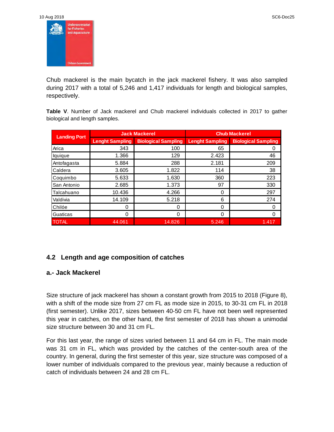

Chub mackerel is the main bycatch in the jack mackerel fishery. It was also sampled during 2017 with a total of 5,246 and 1,417 individuals for length and biological samples, respectively.

**Table V**. Number of Jack mackerel and Chub mackerel individuals collected in 2017 to gather biological and length samples.

| <b>Landing Port</b> |                        | <b>Jack Mackerel</b>       | <b>Chub Mackerel</b>   |                            |  |
|---------------------|------------------------|----------------------------|------------------------|----------------------------|--|
|                     | <b>Lenght Sampling</b> | <b>Biological Sampling</b> | <b>Lenght Sampling</b> | <b>Biological Sampling</b> |  |
| Arica               | 343                    | 100                        | 65                     |                            |  |
| lquique             | 1.366                  | 129                        | 2.423                  | 46                         |  |
| Antofagasta         | 5.884                  | 288                        | 2.181                  | 209                        |  |
| Caldera             | 3.605                  | 1.822                      | 114                    | 38                         |  |
| Coquimbo            | 5.633                  | 1.630                      | 360                    | 223                        |  |
| San Antonio         | 2.685                  | 1.373                      | 97                     | 330                        |  |
| Talcahuano          | 10.436                 | 4.266                      | 0                      | 297                        |  |
| Valdivia            | 14.109                 | 5.218                      | 6                      | 274                        |  |
| Chilóe              | 0                      | 0                          | $\Omega$               | 0                          |  |
| Guaticas            | 0                      | 0                          | $\Omega$               | 0                          |  |
| <b>TOTAL</b>        | 44.061                 | 14.826                     | 5.246                  | 1.417                      |  |

#### **4.2 Length and age composition of catches**

#### **a.- Jack Mackerel**

Size structure of jack mackerel has shown a constant growth from 2015 to 2018 (Figure 8), with a shift of the mode size from 27 cm FL as mode size in 2015, to 30-31 cm FL in 2018 (first semester). Unlike 2017, sizes between 40-50 cm FL have not been well represented this year in catches, on the other hand, the first semester of 2018 has shown a unimodal size structure between 30 and 31 cm FL.

For this last year, the range of sizes varied between 11 and 64 cm in FL. The main mode was 31 cm in FL, which was provided by the catches of the center-south area of the country. In general, during the first semester of this year, size structure was composed of a lower number of individuals compared to the previous year, mainly because a reduction of catch of individuals between 24 and 28 cm FL.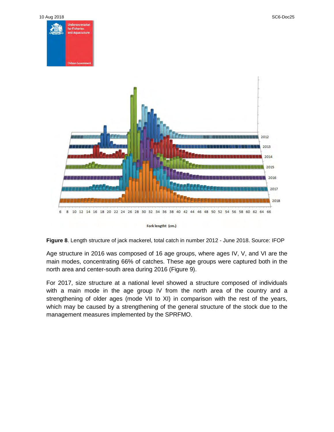

Fork lengtht (cm.)

**Figure 8**. Length structure of jack mackerel, total catch in number 2012 - June 2018. Source: IFOP

Age structure in 2016 was composed of 16 age groups, where ages IV, V, and VI are the main modes, concentrating 66% of catches. These age groups were captured both in the north area and center-south area during 2016 (Figure 9).

For 2017, size structure at a national level showed a structure composed of individuals with a main mode in the age group IV from the north area of the country and a strengthening of older ages (mode VII to XI) in comparison with the rest of the years, which may be caused by a strengthening of the general structure of the stock due to the management measures implemented by the SPRFMO.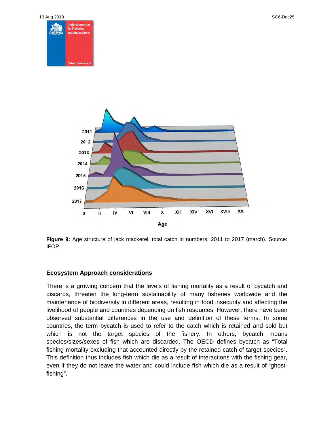



**Figure 9:** Age structure of jack mackerel, total catch in numbers, 2011 to 2017 (march). Source: IFOP.

#### **Ecosystem Approach considerations**

There is a growing concern that the levels of fishing mortality as a result of bycatch and discards, threaten the long-term sustainability of many fisheries worldwide and the maintenance of biodiversity in different areas, resulting in food insecurity and affecting the livelihood of people and countries depending on fish resources. However, there have been observed substantial differences in the use and definition of these terms. In some countries, the term bycatch is used to refer to the catch which is retained and sold but which is not the target species of the fishery. In others, bycatch means species/sizes/sexes of fish which are discarded. The OECD defines bycatch as "Total fishing mortality excluding that accounted directly by the retained catch of target species". This definition thus includes fish which die as a result of interactions with the fishing gear, even if they do not leave the water and could include fish which die as a result of "ghostfishing".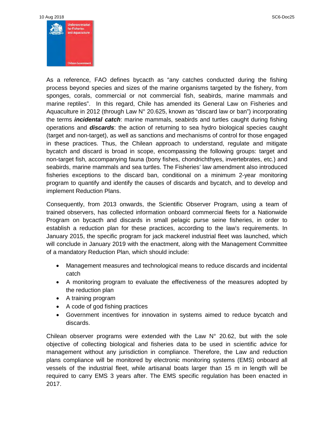As a reference, FAO defines bycacth as "any catches conducted during the fishing process beyond species and sizes of the marine organisms targeted by the fishery, from sponges, corals, commercial or not commercial fish, seabirds, marine mammals and marine reptiles". In this regard, Chile has amended its General Law on Fisheries and Aquaculture in 2012 (through Law N° 20.625, known as "discard law or ban") incorporating the terms *incidental catch*: marine mammals, seabirds and turtles caught during fishing operations and *discards*: the action of returning to sea hydro biological species caught (target and non-target), as well as sanctions and mechanisms of control for those engaged in these practices. Thus, the Chilean approach to understand, regulate and mitigate bycatch and discard is broad in scope, encompassing the following groups: target and non-target fish, accompanying fauna (bony fishes, chondrichthyes, invertebrates, etc.) and seabirds, marine mammals and sea turtles. The Fisheries' law amendment also introduced fisheries exceptions to the discard ban, conditional on a minimum 2-year monitoring program to quantify and identify the causes of discards and bycatch, and to develop and implement Reduction Plans.

Consequently, from 2013 onwards, the Scientific Observer Program, using a team of trained observers, has collected information onboard commercial fleets for a Nationwide Program on bycacth and discards in small pelagic purse seine fisheries, in order to establish a reduction plan for these practices, according to the law's requirements. In January 2015, the specific program for jack mackerel industrial fleet was launched, which will conclude in January 2019 with the enactment, along with the Management Committee of a mandatory Reduction Plan, which should include:

- Management measures and technological means to reduce discards and incidental catch
- A monitoring program to evaluate the effectiveness of the measures adopted by the reduction plan
- A training program
- A code of god fishing practices
- Government incentives for innovation in systems aimed to reduce bycatch and discards.

Chilean observer programs were extended with the Law  $N^{\circ}$  20.62, but with the sole objective of collecting biological and fisheries data to be used in scientific advice for management without any jurisdiction in compliance. Therefore, the Law and reduction plans compliance will be monitored by electronic monitoring systems (EMS) onboard all vessels of the industrial fleet, while artisanal boats larger than 15 m in length will be required to carry EMS 3 years after. The EMS specific regulation has been enacted in 2017.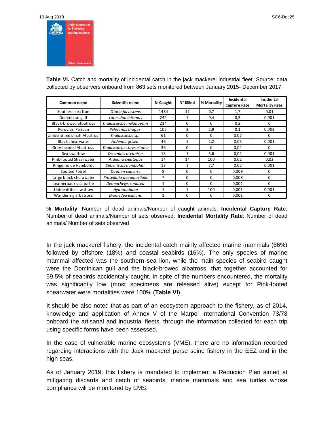10 Aug 2018 SC6-Doc25



**Table VI.** Catch and mortality of incidental catch in the jack mackerel industrial fleet. Source: data collected by observers onboard from 863 sets monitored between January 2015- December 2017

| Common name                 | Scientific name            | <b>N°Caught</b> | N° Killed    | % Mortality | Incidental<br><b>Capture Rate</b> | Incidental<br><b>Mortality Rate</b> |
|-----------------------------|----------------------------|-----------------|--------------|-------------|-----------------------------------|-------------------------------------|
| Southern sea lion           | Otaria flavescens          | 1484            | 11           | 0,7         | 1,7                               | 0,01                                |
| Dominican gull              | Larus dominicanus          | 242             | 1            | 0,4         | 0,3                               | 0,001                               |
| Black-browed albatross      | Thalassarche melanophris   | 214             | $\Omega$     | $\Omega$    | 0,2                               | 0                                   |
| Peruvian Pelican            | Pelecanus thagus           | 105             | 3            | 2,9         | 0,1                               | 0,003                               |
| Unidentified small Albatros | Thalassarche sp.           | 61              | $\Omega$     | $\Omega$    | 0,07                              | <sup>0</sup>                        |
| Black shearwater            | Ardenna grisea             | 46              | $\mathbf{1}$ | 2,2         | 0,05                              | 0,001                               |
| Gray-headed Albatross       | Thalassarche chrysostoma   | 36              | $\Omega$     | $\Omega$    | 0,04                              | 0                                   |
| Sea swallow                 | Oceanites oceanicus        | 18              | 1            | 5,6         | 0,02                              | 0,001                               |
| Pink-footed Shearwater      | Ardenna creatopus          | 14              | 14           | 100         | 0,02                              | 0,02                                |
| Pingüino de Humboldt        | Spheniscus humboldti       | 13              | $\mathbf{1}$ | 7,7         | 0.02                              | 0.001                               |
| Spotted Petrel              | Daption capense            | 8               | $\Omega$     | $\Omega$    | 0.009                             | 0                                   |
| Large black sherawater      | Procellaria aequinoctialis | 7               | $\Omega$     | $\Omega$    | 0,008                             | 0                                   |
| Leatherback sea turtle      | Dermochelys coriacea       | $\mathbf{1}$    | $\Omega$     | $\Omega$    | 0,001                             | $\Omega$                            |
| Unidentified swallow        | Hydrobatidae               | $\mathbf{1}$    | 1            | 100         | 0,001                             | 0,001                               |
| Wandering albatross         | Diomedea exulans           | 1               | $\Omega$     | 0           | 0,001                             | 0                                   |

**% Mortality**: Number of dead animals/Number of caught animals; **Incidental Capture Rate**: Number of dead animals/Number of sets observed; **Incidental Mortality Rate**: Number of dead animals/ Number of sets observed

In the jack mackerel fishery, the incidental catch mainly affected marine mammals (66%) followed by offshore (18%) and coastal seabirds (16%). The only species of marine mammal affected was the southern sea lion, while the main species of seabird caught were the Dominican gull and the black-browed albatross, that together accounted for 59.5% of seabirds accidentally caught. In spite of the numbers encountered, the mortality was significantly low (most specimens are released alive) except for Pink-footed shearwater were mortalities were 100% (**Table VI**).

It should be also noted that as part of an ecosystem approach to the fishery, as of 2014, knowledge and application of Annex V of the Marpol International Convention 73/78 onboard the artisanal and industrial fleets, through the information collected for each trip using specific forms have been assessed.

In the case of vulnerable marine ecosystems (VME), there are no information recorded regarding interactions with the Jack mackerel purse seine fishery in the EEZ and in the high seas.

As of January 2019, this fishery is mandated to implement a Reduction Plan aimed at mitigating discards and catch of seabirds, marine mammals and sea turtles whose compliance will be monitored by EMS.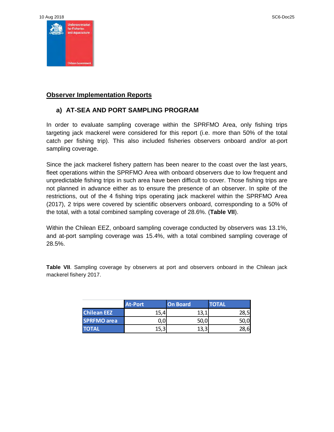

#### **Observer Implementation Reports**

#### **a) AT-SEA AND PORT SAMPLING PROGRAM**

In order to evaluate sampling coverage within the SPRFMO Area, only fishing trips targeting jack mackerel were considered for this report (i.e. more than 50% of the total catch per fishing trip). This also included fisheries observers onboard and/or at-port sampling coverage.

Since the jack mackerel fishery pattern has been nearer to the coast over the last years, fleet operations within the SPRFMO Area with onboard observers due to low frequent and unpredictable fishing trips in such area have been difficult to cover. Those fishing trips are not planned in advance either as to ensure the presence of an observer. In spite of the restrictions, out of the 4 fishing trips operating jack mackerel within the SPRFMO Area (2017), 2 trips were covered by scientific observers onboard, corresponding to a 50% of the total, with a total combined sampling coverage of 28.6%. (**Table VII**).

Within the Chilean EEZ, onboard sampling coverage conducted by observers was 13.1%, and at-port sampling coverage was 15.4%, with a total combined sampling coverage of 28.5%.

**Table VII**. Sampling coverage by observers at port and observers onboard in the Chilean jack mackerel fishery 2017.

|                    | <b>At-Port</b> | <b>On Board</b> | TOTAL' |
|--------------------|----------------|-----------------|--------|
| <b>Chilean EEZ</b> | 15,            | 13, 1           | 28,51  |
| <b>SPRFMO</b> area |                | 50,0            | 50,0   |
| <b>TOTAL</b>       |                | 13,             |        |